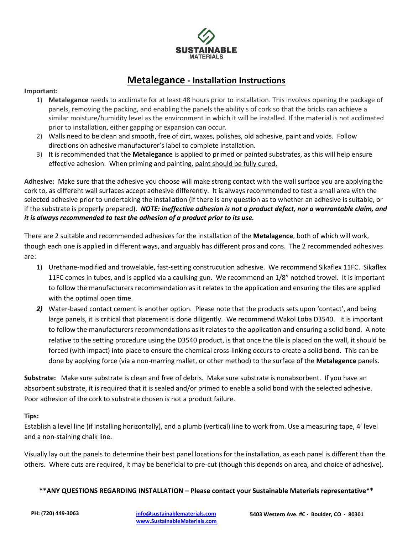

# **Metalegance - Installation Instructions**

#### **Important:**

- 1) **Metalegance** needs to acclimate for at least 48 hours prior to installation. This involves opening the package of panels, removing the packing, and enabling the panels the ability s of cork so that the bricks can achieve a similar moisture/humidity level as the environment in which it will be installed. If the material is not acclimated prior to installation, either gapping or expansion can occur.
- 2) Walls need to be clean and smooth, free of dirt, waxes, polishes, old adhesive, paint and voids. Follow directions on adhesive manufacturer's label to complete installation.
- 3) It is recommended that the **Metalegance** is applied to primed or painted substrates, as this will help ensure effective adhesion. When priming and painting, paint should be fully cured.

**Adhesive:** Make sure that the adhesive you choose will make strong contact with the wall surface you are applying the cork to, as different wall surfaces accept adhesive differently. It is always recommended to test a small area with the selected adhesive prior to undertaking the installation (if there is any question as to whether an adhesive is suitable, or if the substrate is properly prepared). *NOTE: ineffective adhesion is not a product defect, nor a warrantable claim, and it is always recommended to test the adhesion of a product prior to its use.*

There are 2 suitable and recommended adhesives for the installation of the **Metalagence**, both of which will work, though each one is applied in different ways, and arguably has different pros and cons. The 2 recommended adhesives are:

- 1) Urethane-modified and trowelable, fast-setting construcution adhesive. We recommend Sikaflex 11FC. Sikaflex 11FC comes in tubes, and is applied via a caulking gun. We recommend an 1/8" notched trowel. It is important to follow the manufacturers recommendation as it relates to the application and ensuring the tiles are applied with the optimal open time.
- *2)* Water-based contact cement is another option. Please note that the products sets upon 'contact', and being large panels, it is critical that placement is done diligently. We recommend Wakol Loba D3540. It is important to follow the manufacturers recommendations as it relates to the application and ensuring a solid bond. A note relative to the setting procedure using the D3540 product, is that once the tile is placed on the wall, it should be forced (with impact) into place to ensure the chemical cross-linking occurs to create a solid bond. This can be done by applying force (via a non-marring mallet, or other method) to the surface of the **Metalegence** panels.

**Substrate:** Make sure substrate is clean and free of debris. Make sure substrate is nonabsorbent. If you have an absorbent substrate, it is required that it is sealed and/or primed to enable a solid bond with the selected adhesive. Poor adhesion of the cork to substrate chosen is not a product failure.

#### **Tips:**

Establish a level line (if installing horizontally), and a plumb (vertical) line to work from. Use a measuring tape, 4' level and a non-staining chalk line.

Visually lay out the panels to determine their best panel locations for the installation, as each panel is different than the others. Where cuts are required, it may be beneficial to pre-cut (though this depends on area, and choice of adhesive).

#### **\*\*ANY QUESTIONS REGARDING INSTALLATION – Please contact your Sustainable Materials representative\*\***